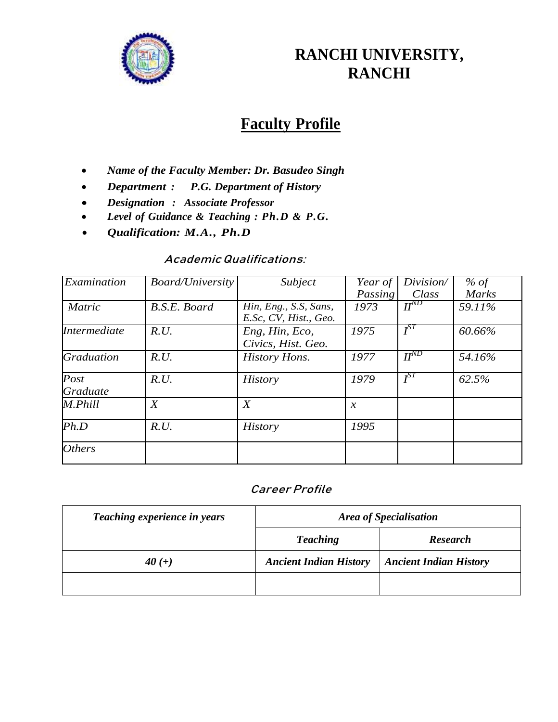

## **RANCHI UNIVERSITY, RANCHI**

# **Faculty Profile**

- *Name of the Faculty Member: Dr. Basudeo Singh*
- *Department : P.G. Department of History*
- *Designation : Associate Professor*
- *Level of Guidance & Teaching : Ph.D & P.G.*
- *Qualification: M.A., Ph.D*

#### **AcademicQualifications:**

| Examination         | Board/University | Subject                                        | Year of       | Division/ | $%$ of       |
|---------------------|------------------|------------------------------------------------|---------------|-----------|--------------|
|                     |                  |                                                | Passing       | Class     | <b>Marks</b> |
| <b>Matric</b>       | B.S.E. Board     | Hin, Eng., S.S, Sans,<br>E.Sc, CV, Hist., Geo. | 1973          | $H^{ND}$  | 59.11%       |
| <b>Intermediate</b> | R.U.             | Eng, Hin, Eco,<br>Civics, Hist. Geo.           | 1975          | $I^{ST}$  | 60.66%       |
| Graduation          | R.U.             | <b>History Hons.</b>                           | 1977          | $H^{ND}$  | 54.16%       |
| Post<br>Graduate    | R.U.             | <b>History</b>                                 | 1979          | $I^{ST}$  | 62.5%        |
| M.Phill             | X                | X                                              | $\mathcal{X}$ |           |              |
| Ph.D                | R.U.             | <b>History</b>                                 | 1995          |           |              |
| <b>Others</b>       |                  |                                                |               |           |              |

## **Career Profile**

| Teaching experience in years | <b>Area of Specialisation</b> |                               |  |
|------------------------------|-------------------------------|-------------------------------|--|
|                              | <b>Teaching</b>               | <b>Research</b>               |  |
| 40 $(+)$                     | <b>Ancient Indian History</b> | <b>Ancient Indian History</b> |  |
|                              |                               |                               |  |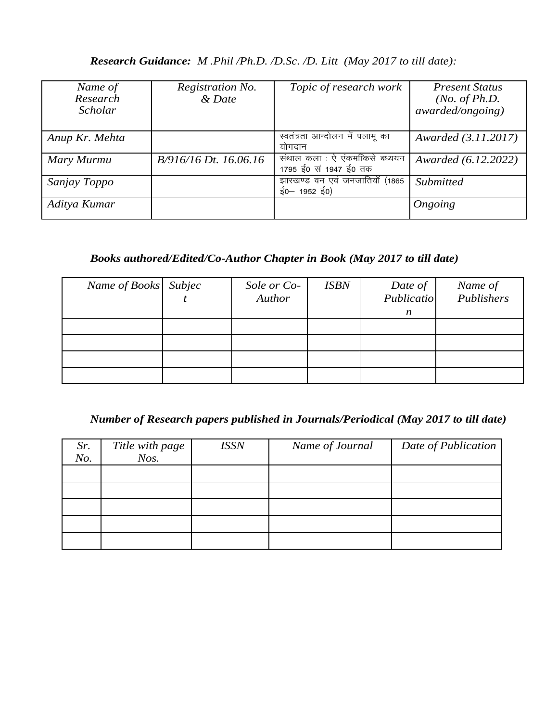#### *Research Guidance: M .Phil /Ph.D. /D.Sc. /D. Litt (May 2017 to till date):*

| Name of<br>Research<br>Scholar | Registration No.<br>& Date | Topic of research work                                  | <b>Present Status</b><br>( <i>No. of Ph.D.</i><br><i>awarded/ongoing</i> ) |
|--------------------------------|----------------------------|---------------------------------------------------------|----------------------------------------------------------------------------|
| Anup Kr. Mehta                 |                            | स्वतंत्रता आन्दोलन में पलामू का<br>योगदान               | Awarded (3.11.2017)                                                        |
| Mary Murmu                     | B/916/16 Dt. 16.06.16      | संथाल कला : ऐ एंकमाकिसे बध्ययन<br>1795 ई0 सं 1947 ई0 तक | Awarded (6.12.2022)                                                        |
| Sanjay Toppo                   |                            | झारखण्ड वन एवं जनजातियाँ (1865<br>ई0-1952 ई0)           | Submitted                                                                  |
| Aditya Kumar                   |                            |                                                         | Ongoing                                                                    |

## *Books authored/Edited/Co-Author Chapter in Book (May 2017 to till date)*

| Name of Books Subjec | Sole or Co-<br>Author | <b>ISBN</b> | Date of<br>Publicatio<br>$\boldsymbol{n}$ | Name of<br>Publishers |
|----------------------|-----------------------|-------------|-------------------------------------------|-----------------------|
|                      |                       |             |                                           |                       |
|                      |                       |             |                                           |                       |
|                      |                       |             |                                           |                       |
|                      |                       |             |                                           |                       |

#### *Number of Research papers published in Journals/Periodical (May 2017 to till date)*

| Sr.<br>No. | Title with page<br>$N$ os. | <b>ISSN</b> | Name of Journal | Date of Publication |
|------------|----------------------------|-------------|-----------------|---------------------|
|            |                            |             |                 |                     |
|            |                            |             |                 |                     |
|            |                            |             |                 |                     |
|            |                            |             |                 |                     |
|            |                            |             |                 |                     |